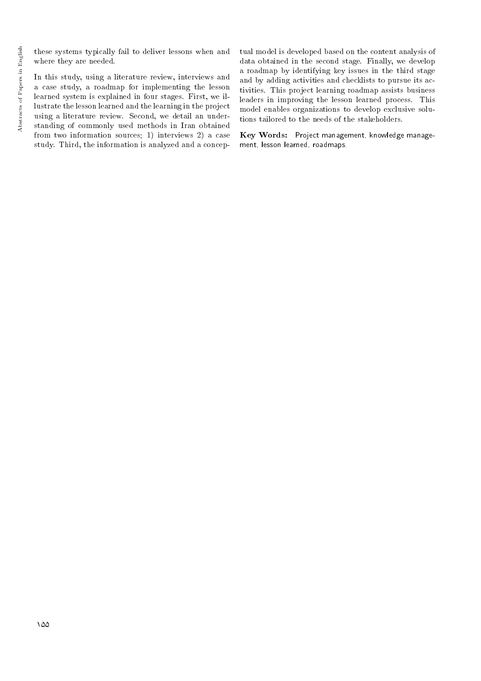these systems typically fail to deliver lessons when and where they are needed.

In this study, using a literature review, interviews and a case study, a roadmap for implementing the lesson learned system is explained in four stages. First, we illustrate the lesson learned and the learning in the project using a literature review. Second, we detail an understanding of commonly used methods in Iran obtained from two information sources; 1) interviews 2) a case study. Third, the information is analyzed and a conceptual model is developed based on the content analysis of data obtained in the second stage. Finally, we develop a roadmap by identifying key issues in the third stage and by adding activities and checklists to pursue its activities. This project learning roadmap assists business leaders in improving the lesson learned process. This model enables organizations to develop exclusive solutions tailored to the needs of the stakeholders.

Key Words: Project management, knowledge management, lesson learned, roadmaps.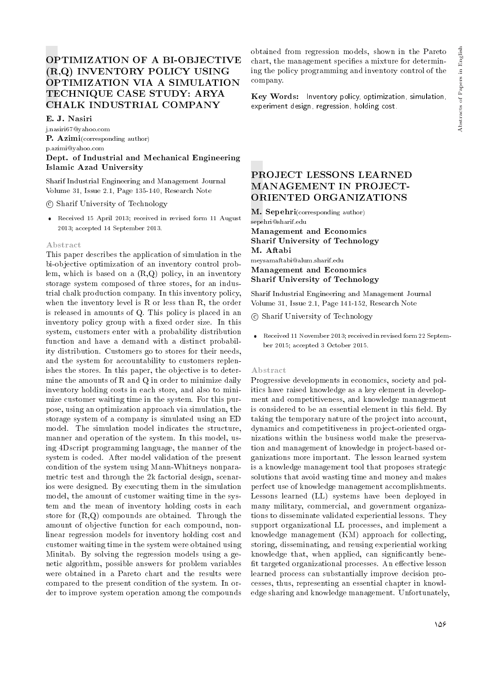# OPTIMIZATION OF A BI-OBJECTIVE (R,Q) INVENTORY POLICY USING OPTIMIZATION VIA A SIMULATION TECHNIQUE CASE STUDY: ARYA CHALK INDUSTRIAL COMPANY

E. J. Nasiri

j.nasiri67@yahoo.com P. Azimi(corresponding author) p.azimi@yahoo.com Dept. of Industrial and Mechanical Engineering Islamic Azad University

Sharif Industrial Engineering and Management Journal Volume 31, Issue 2.1, Page 135-140, Research Note

c Sharif University of Technology

 Received 15 April 2013; received in revised form 11 August 2013; accepted 14 September 2013.

#### Abstract

This paper describes the application of simulation in the bi-objective optimization of an inventory control problem, which is based on a  $(R,Q)$  policy, in an inventory storage system composed of three stores, for an industrial chalk production company. In this inventory policy, when the inventory level is R or less than R, the order is released in amounts of Q. This policy is placed in an inventory policy group with a fixed order size. In this system, customers enter with a probability distribution function and have a demand with a distinct probability distribution. Customers go to stores for their needs, and the system for accountability to customers replenishes the stores. In this paper, the objective is to determine the amounts of R and Q in order to minimize daily inventory holding costs in each store, and also to minimize customer waiting time in the system. For this purpose, using an optimization approach via simulation, the storage system of a company is simulated using an ED model. The simulation model indicates the structure, manner and operation of the system. In this model, using 4Dscript programming language, the manner of the system is coded. After model validation of the present condition of the system using Mann-Whitneys nonparametric test and through the 2k factorial design, scenarios were designed. By executing them in the simulation model, the amount of customer waiting time in the system and the mean of inventory holding costs in each store for  $(R,Q)$  compounds are obtained. Through the amount of objective function for each compound, nonlinear regression models for inventory holding cost and customer waiting time in the system were obtained using Minitab. By solving the regression models using a genetic algorithm, possible answers for problem variables were obtained in a Pareto chart and the results were compared to the present condition of the system. In order to improve system operation among the compounds

obtained from regression models, shown in the Pareto chart, the management species a mixture for determining the policy programming and inventory control of the company.

Key Words: Inventory policy, optimization, simulation, experiment design, regression, holding cost.

# PROJECT LESSONS LEARNED MANAGEMENT IN PROJECT-ORIENTED ORGANIZATIONS

M. Sepehri(corresponding author) sepehri@sharif.edu Management and Economics Sharif University of Technology M. Aftabi meysamaftabi@alum.sharif.edu

Management and Economics Sharif University of Technology

Sharif Industrial Engineering and Management Journal Volume 31, Issue 2.1, Page 141-152, Research Note

- c Sharif University of Technology
- Received 11 November 2013; received in revised form 22 September 2015; accepted 3 October 2015.

#### Abstract

Progressive developments in economics, society and politics have raised knowledge as a key element in development and competitiveness, and knowledge management is considered to be an essential element in this field. By taking the temporary nature of the project into account, dynamics and competitiveness in project-oriented organizations within the business world make the preservation and management of knowledge in project-based organizations more important. The lesson learned system is a knowledge management tool that proposes strategic solutions that avoid wasting time and money and makes perfect use of knowledge management accomplishments. Lessons learned (LL) systems have been deployed in many military, commercial, and government organizations to disseminate validated experiential lessons. They support organizational LL processes, and implement a knowledge management (KM) approach for collecting, storing, disseminating, and reusing experiential working knowledge that, when applied, can signicantly bene fit targeted organizational processes. An effective lesson learned process can substantially improve decision processes, thus, representing an essential chapter in knowledge sharing and knowledge management. Unfortunately,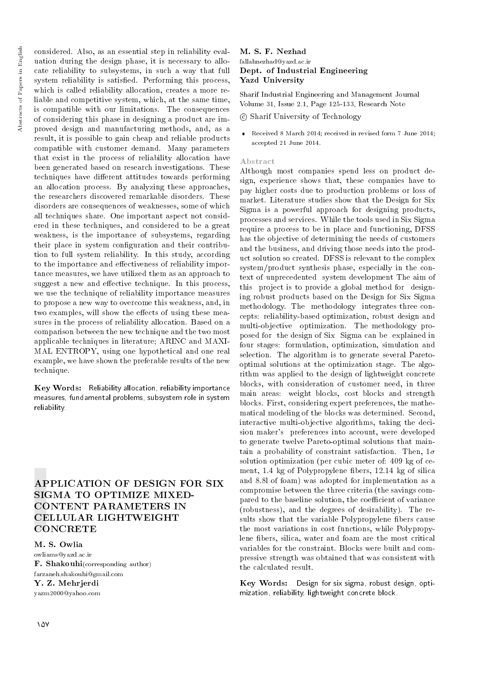considered. Also, as an essential step in reliability evaluation during the design phase, it is necessary to allocate reliability to subsystems, in such a way that full system reliability is satisfied. Performing this process, which is called reliability allocation, creates a more reliable and competitive system, which, at the same time, is compatible with our limitations. The consequences of considering this phase in designing a product are improved design and manufacturing methods, and, as a result, it is possible to gain cheap and reliable products compatible with customer demand. Many parameters that exist in the process of reliability allocation have been generated based on research investigations. These techniques have different attitudes towards performing an allocation process. By analyzing these approaches, the researchers discovered remarkable disorders. These disorders are consequences of weaknesses, some of which all techniques share. One important aspect not considered in these techniques, and considered to be a great weakness, is the importance of subsystems, regarding their place in system configuration and their contribution to full system reliability. In this study, according to the importance and effectiveness of reliability importance measures, we have utilized them as an approach to suggest a new and effective technique. In this process, we use the technique of reliability importance measures to propose a new way to overcome this weakness, and, in two examples, will show the effects of using these measures in the process of reliability allocation. Based on a comparison between the new technique and the two most applicable techniques in literature; ARINC and MAXI-MAL ENTROPY, using one hypothetical and one real example, we have shown the preferable results of the new technique.

Key Words: Reliability allocation, reliability importance measures, fundamental problems, subsystem role in system reliability.

# APPLICATION OF DESIGN FOR SIX SIGMA TO OPTIMIZE MIXED-CONTENT PARAMETERS IN CELLULAR LIGHTWEIGHT **CONCRETE**

M. S. Owlia owliams@yazd.ac.ir F. Shakouhi(corresponding author) farzaneh.shakouhi@gmail.com Y. Z. Mehrjerdi yazm2000@yahoo.com

#### M. S. F. Nezhad fallahnezhad@yazd.ac.ir Dept. of Industrial Engineering Yazd University

Sharif Industrial Engineering and Management Journal Volume 31, Issue 2.1, Page 125-133, Research Note

c Sharif University of Technology

 Received 8 March 2014; received in revised form 7 June 2014; accepted 21 June 2014.

#### Abstract

Although most companies spend less on product design, experience shows that, these companies have to pay higher costs due to production problems or loss of market. Literature studies show that the Design for Six Sigma is a powerful approach for designing products, processes and services. While the tools used in Six Sigma require a process to be in place and functioning, DFSS has the objective of determining the needs of customers and the business, and driving those needs into the product solution so created. DFSS is relevant to the complex system/product synthesis phase, especially in the context of unprecedented system development The aim of this project is to provide a global method for designing robust products based on the Design for Six Sigma methodology. The methodology integrates three concepts: reliability-based optimization, robust design and multi-objective optimization. The methodology proposed for the design of Six Sigma can be explained in four stages: formulation, optimization, simulation and selection. The algorithm is to generate several Paretooptimal solutions at the optimization stage. The algorithm was applied to the design of lightweight concrete blocks, with consideration of customer need, in three main areas: weight blocks, cost blocks and strength blocks. First, considering expert preferences, the mathematical modeling of the blocks was determined. Second, interactive multi-objective algorithms, taking the decision maker's preferences into account, were developed to generate twelve Pareto-optimal solutions that maintain a probability of constraint satisfaction. Then,  $1\sigma$ solution optimization (per cubic meter of: 409 kg of cement, 1.4 kg of Polypropylene bers, 12.14 kg of silica and 8.8l of foam) was adopted for implementation as a compromise between the three criteria (the savings compared to the baseline solution, the coefficient of variance (robustness), and the degrees of desirability). The results show that the variable Polypropylene fibers cause the most variations in cost functions, while Polypropylene bers, silica, water and foam are the most critical variables for the constraint. Blocks were built and compressive strength was obtained that was consistent with the calculated result.

Key Words: Design for six sigma, robust design, optimization, reliability, lightweight concrete block.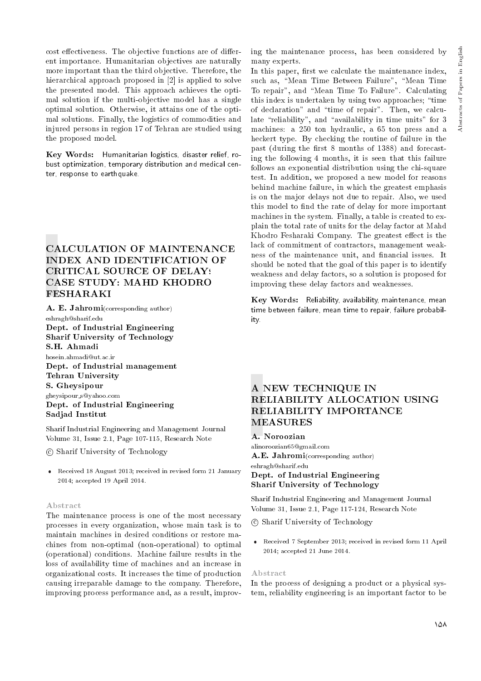cost effectiveness. The objective functions are of different importance. Humanitarian objectives are naturally more important than the third objective. Therefore, the hierarchical approach proposed in [2] is applied to solve the presented model. This approach achieves the optimal solution if the multi-objective model has a single optimal solution. Otherwise, it attains one of the optimal solutions. Finally, the logistics of commodities and injured persons in region 17 of Tehran are studied using the proposed model.

Key Words: Humanitarian logistics, disaster relief, robust optimization, temporary distribution and medical center, response to earthquake.

# CALCULATION OF MAINTENANCE INDEX AND IDENTIFICATION OF CRITICAL SOURCE OF DELAYS CASE STUDY: MAHD KHODRO FESHARAKI

A. E. Jahromi(corresponding author) eshragh@sharif.edu Dept. of Industrial Engineering Sharif University of Technology S.H. Ahmadi hosein.ahmadi@ut.ac.ir Dept. of Industrial management Tehran University S. Gheysipour gheysipour s@yahoo.com Dept. of Industrial Engineering Sadjad Institut

Sharif Industrial Engineering and Management Journal Volume 31, Issue 2.1, Page 107-115, Research Note

c Sharif University of Technology

 Received 18 August 2013; received in revised form 21 January 2014; accepted 19 April 2014.

#### Abstract

The maintenance process is one of the most necessary processes in every organization, whose main task is to maintain machines in desired conditions or restore machines from non-optimal (non-operational) to optimal (operational) conditions. Machine failure results in the loss of availability time of machines and an increase in organizational costs. It increases the time of production causing irreparable damage to the company. Therefore, improving process performance and, as a result, improving the maintenance process, has been considered by many experts.

In this paper, first we calculate the maintenance index, such as, "Mean Time Between Failure", "Mean Time To repair", and "Mean Time To Failure". Calculating this index is undertaken by using two approaches; \time of declaration" and \time of repair". Then, we calculate "reliability", and "availability in time units" for  $3$ machines: a 250 ton hydraulic, a 65 ton press and a heckert type. By checking the routine of failure in the past (during the first  $8$  months of 1388) and forecasting the following 4 months, it is seen that this failure follows an exponential distribution using the chi-square test. In addition, we proposed a new model for reasons behind machine failure, in which the greatest emphasis is on the major delays not due to repair. Also, we used this model to find the rate of delay for more important machines in the system. Finally, a table is created to explain the total rate of units for the delay factor at Mahd Khodro Fesharaki Company. The greatest effect is the lack of commitment of contractors, management weakness of the maintenance unit, and financial issues. It should be noted that the goal of this paper is to identify weakness and delay factors, so a solution is proposed for improving these delay factors and weaknesses.

Key Words: Reliability, availability, maintenance, mean time between failure, mean time to repair, failure probability.

# A NEW TECHNIQUE IN RELIABILITY ALLOCATION USING RELIABILITY IMPORTANCE MEASURES

#### A. Noroozian

alinoroozian65@gmail.com A.E. Jahromi(corresponding author) eshragh@sharif.edu

#### Dept. of Industrial Engineering Sharif University of Technology

Sharif Industrial Engineering and Management Journal Volume 31, Issue 2.1, Page 117-124, Research Note

- c Sharif University of Technology
- Received 7 September 2013; received in revised form 11 April 2014; accepted 21 June 2014.

#### Abstract

In the process of designing a product or a physical system, reliability engineering is an important factor to be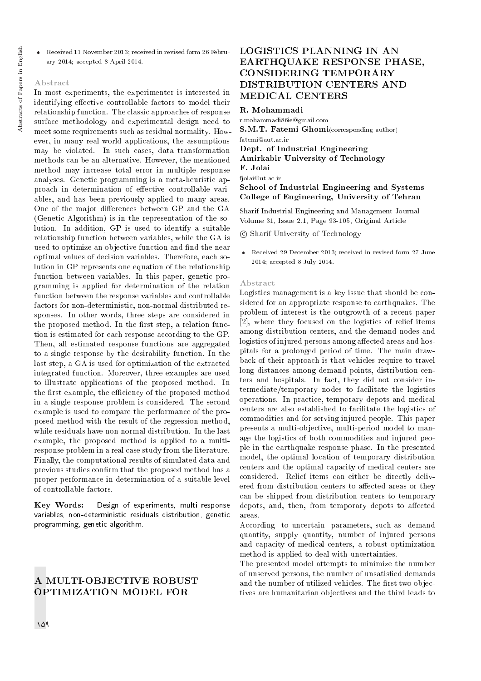Received 11 November 2013; received in revised form 26 February 2014; accepted 8 April 2014.

#### Abstract

In most experiments, the experimenter is interested in identifying effective controllable factors to model their relationship function. The classic approaches of response surface methodology and experimental design need to meet some requirements such as residual normality. However, in many real world applications, the assumptions may be violated. In such cases, data transformation methods can be an alternative. However, the mentioned method may increase total error in multiple response analyses. Genetic programming is a meta-heuristic approach in determination of effective controllable variables, and has been previously applied to many areas. One of the major differences between GP and the GA (Genetic Algorithm) is in the representation of the solution. In addition, GP is used to identify a suitable relationship function between variables, while the GA is used to optimize an objective function and find the near optimal values of decision variables. Therefore, each solution in GP represents one equation of the relationship function between variables. In this paper, genetic programming is applied for determination of the relation function between the response variables and controllable factors for non-deterministic, non-normal distributed responses. In other words, three steps are considered in the proposed method. In the first step, a relation function is estimated for each response according to the GP. Then, all estimated response functions are aggregated to a single response by the desirability function. In the last step, a GA is used for optimization of the extracted integrated function. Moreover, three examples are used to illustrate applications of the proposed method. In the first example, the efficiency of the proposed method in a single response problem is considered. The second example is used to compare the performance of the proposed method with the result of the regression method, while residuals have non-normal distribution. In the last example, the proposed method is applied to a multiresponse problem in a real case study from the literature. Finally, the computational results of simulated data and previous studies confirm that the proposed method has a proper performance in determination of a suitable level of controllable factors.

Key Words: Design of experiments, multi response variables, non-deterministic residuals distribution, genetic programming, genetic algorithm.

### A MULTI-OBJECTIVE ROBUST OPTIMIZATION MODEL FOR

# LOGISTICS PLANNING IN AN EARTHQUAKE RESPONSE PHASE, CONSIDERING TEMPORARY DISTRIBUTION CENTERS AND MEDICAL CENTERS

#### R. Mohammadi

r.mohammadi86ie@gmail.com S.M.T. Fatemi Ghomi(corresponding author) fatemi@aut.ac.ir Dept. of Industrial Engineering Amirkabir University of Technology F. Jolai fjolai@ut.ac.ir

#### School of Industrial Engineering and Systems College of Engineering, University of Tehran

Sharif Industrial Engineering and Management Journal Volume 31, Issue 2.1, Page 93-105, Original Article

c Sharif University of Technology

 Received 29 December 2013; received in revised form 27 June 2014; accepted 8 July 2014.

#### Abstract

Logistics management is a key issue that should be considered for an appropriate response to earthquakes. The problem of interest is the outgrowth of a recent paper [2], where they focused on the logistics of relief items among distribution centers, and the demand nodes and logistics of injured persons among affected areas and hospitals for a prolonged period of time. The main drawback of their approach is that vehicles require to travel long distances among demand points, distribution centers and hospitals. In fact, they did not consider intermediate/temporary nodes to facilitate the logistics operations. In practice, temporary depots and medical centers are also established to facilitate the logistics of commodities and for serving injured people. This paper presents a multi-objective, multi-period model to manage the logistics of both commodities and injured people in the earthquake response phase. In the presented model, the optimal location of temporary distribution centers and the optimal capacity of medical centers are considered. Relief items can either be directly delivered from distribution centers to affected areas or they can be shipped from distribution centers to temporary depots, and, then, from temporary depots to affected areas.

According to uncertain parameters, such as demand quantity, supply quantity, number of injured persons and capacity of medical centers, a robust optimization method is applied to deal with uncertainties.

The presented model attempts to minimize the number of unserved persons, the number of unsatisfied demands and the number of utilized vehicles. The first two objectives are humanitarian objectives and the third leads to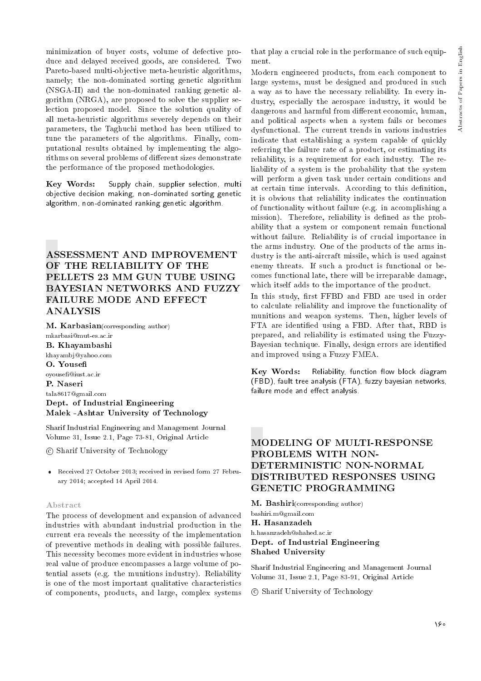minimization of buyer costs, volume of defective produce and delayed received goods, are considered. Two Pareto-based multi-objective meta-heuristic algorithms, namely; the non-dominated sorting genetic algorithm (NSGA-II) and the non-dominated ranking genetic algorithm (NRGA), are proposed to solve the supplier selection proposed model. Since the solution quality of all meta-heuristic algorithms severely depends on their parameters, the Taghuchi method has been utilized to tune the parameters of the algorithms. Finally, computational results obtained by implementing the algorithms on several problems of different sizes demonstrate the performance of the proposed methodologies.

Key Words: Supply chain, supplier selection, multi objective decision making, non-dominated sorting genetic algorithm, non-dominated ranking genetic algorithm.

# ASSESSMENT AND IMPROVEMENT OF THE RELIABILITY OF THE PELLETS 23 MM GUN TUBE USING BAYESIAN NETWORKS AND FUZZY FAILURE MODE AND EFFECT ANALYSIS

M. Karbasian(corresponding author)

mkarbasi@mut-es.ac.ir B. Khayambashi khayambj@yahoo.com O. Youse oyouse@iust.ac.ir P. Naseri tala8617@gmail.com Dept. of Industrial Engineering Malek -Ashtar University of Technology

Sharif Industrial Engineering and Management Journal Volume 31, Issue 2.1, Page 73-81, Original Article

c Sharif University of Technology

 Received 27 October 2013; received in revised form 27 February 2014; accepted 14 April 2014.

#### Abstract

The process of development and expansion of advanced industries with abundant industrial production in the current era reveals the necessity of the implementation of preventive methods in dealing with possible failures. This necessity becomes more evident in industries whose real value of produce encompasses a large volume of potential assets (e.g. the munitions industry). Reliability is one of the most important qualitative characteristics of components, products, and large, complex systems

that play a crucial role in the performance of such equipment.

Modern engineered products, from each component to large systems, must be designed and produced in such a way as to have the necessary reliability. In every industry, especially the aerospace industry, it would be dangerous and harmful from different economic, human, and political aspects when a system fails or becomes dysfunctional. The current trends in various industries indicate that establishing a system capable of quickly referring the failure rate of a product, or estimating its reliability, is a requirement for each industry. The reliability of a system is the probability that the system will perform a given task under certain conditions and at certain time intervals. According to this definition, it is obvious that reliability indicates the continuation of functionality without failure (e.g. in accomplishing a mission). Therefore, reliability is defined as the probability that a system or component remain functional without failure. Reliability is of crucial importance in the arms industry. One of the products of the arms industry is the anti-aircraft missile, which is used against enemy threats. If such a product is functional or becomes functional late, there will be irreparable damage, which itself adds to the importance of the product.

In this study, first FFBD and FBD are used in order to calculate reliability and improve the functionality of munitions and weapon systems. Then, higher levels of FTA are identied using a FBD. After that, RBD is prepared, and reliability is estimated using the Fuzzy-Bayesian technique. Finally, design errors are identied and improved using a Fuzzy FMEA.

Key Words: Reliability, function flow block diagram (FBD), fault tree analysis (FTA), fuzzy bayesian networks, failure mode and effect analysis.

# MODELING OF MULTI-RESPONSE PROBLEMS WITH NON-DETERMINISTIC NON-NORMAL DISTRIBUTED RESPONSES USING GENETIC PROGRAMMING

M. Bashiri(corresponding author) bashiri.m@gmail.com H. Hasanzadeh h.hasanzadeh@shahed.ac.ir Dept. of Industrial Engineering

# Shahed University

Sharif Industrial Engineering and Management Journal Volume 31, Issue 2.1, Page 83-91, Original Article

c Sharif University of Technology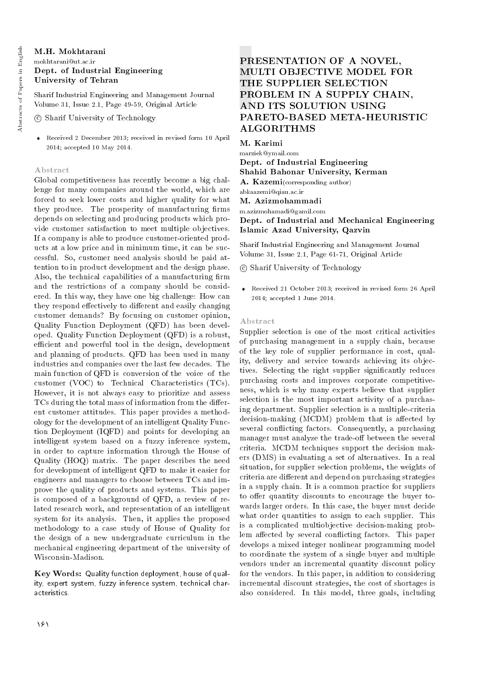#### M.H. Mokhtarani mokhtarani@ut.ac.ir Dept. of Industrial Engineering University of Tehran

Sharif Industrial Engineering and Management Journal Volume 31, Issue 2.1, Page 49-59, Original Article

c Sharif University of Technology

 Received 2 December 2013; received in revised form 10 April 2014; accepted 10 May 2014.

#### Abstract

Global competitiveness has recently become a big challenge for many companies around the world, which are forced to seek lower costs and higher quality for what they produce. The prosperity of manufacturing firms depends on selecting and producing products which provide customer satisfaction to meet multiple objectives. If a company is able to produce customer-oriented products at a low price and in minimum time, it can be successful. So, customer need analysis should be paid attention to in product development and the design phase. Also, the technical capabilities of a manufacturing firm and the restrictions of a company should be considered. In this way, they have one big challenge: How can they respond effectively to different and easily changing customer demands? By focusing on customer opinion, Quality Function Deployment (QFD) has been developed. Quality Function Deployment (QFD) is a robust, efficient and powerful tool in the design, development and planning of products. QFD has been used in many industries and companies over the last few decades. The main function of QFD is conversion of the voice of the customer (VOC) to Technical Characteristics (TCs). However, it is not always easy to prioritize and assess TCs during the total mass of information from the different customer attitudes. This paper provides a methodology for the development of an intelligent Quality Function Deployment (IQFD) and points for developing an intelligent system based on a fuzzy inference system, in order to capture information through the House of Quality (HOQ) matrix. The paper describes the need for development of intelligent QFD to make it easier for engineers and managers to choose between TCs and improve the quality of products and systems. This paper is composed of a background of QFD, a review of related research work, and representation of an intelligent system for its analysis. Then, it applies the proposed methodology to a case study of House of Quality for the design of a new undergraduate curriculum in the mechanical engineering department of the university of Wisconsin-Madison.

Key Words: Quality function deployment, house of quality, expert system, fuzzy inference system, technical characteristics.

# PRESENTATION OF A NOVEL, MULTI OBJECTIVE MODEL FOR THE SUPPLIER SELECTION PROBLEM IN A SUPPLY CHAIN, AND ITS SOLUTION USING PARETO-BASED META-HEURISTIC ALGORITHMS

M. Karimi

marziek@ymail.com Dept. of Industrial Engineering Shahid Bahonar University, Kerman A. Kazemi(corresponding author)

abkaazemi@qiau.ac.ir

M. Azizmohammadi

m.azizmohamadi@gamil.com Dept. of Industrial and Mechanical Engineering Islamic Azad University, Qazvin

Sharif Industrial Engineering and Management Journal Volume 31, Issue 2.1, Page 61-71, Original Article

c Sharif University of Technology

 Received 21 October 2013; received in revised form 26 April 2014; accepted 1 June 2014.

#### Abstract

Supplier selection is one of the most critical activities of purchasing management in a supply chain, because of the key role of supplier performance in cost, quality, delivery and service towards achieving its objectives. Selecting the right supplier signicantly reduces purchasing costs and improves corporate competitiveness, which is why many experts believe that supplier selection is the most important activity of a purchasing department. Supplier selection is a multiple-criteria  $decision-making (MCDM) problem that is affected by$ several conflicting factors. Consequently, a purchasing manager must analyze the trade-off between the several criteria. MCDM techniques support the decision makers (DMS) in evaluating a set of alternatives. In a real situation, for supplier selection problems, the weights of criteria are different and depend on purchasing strategies in a supply chain. It is a common practice for suppliers to offer quantity discounts to encourage the buyer towards larger orders. In this case, the buyer must decide what order quantities to assign to each supplier. This is a complicated multiobjective decision-making problem affected by several conflicting factors. This paper develops a mixed integer nonlinear programming model to coordinate the system of a single buyer and multiple vendors under an incremental quantity discount policy for the vendors. In this paper, in addition to considering incremental discount strategies, the cost of shortages is also considered. In this model, three goals, including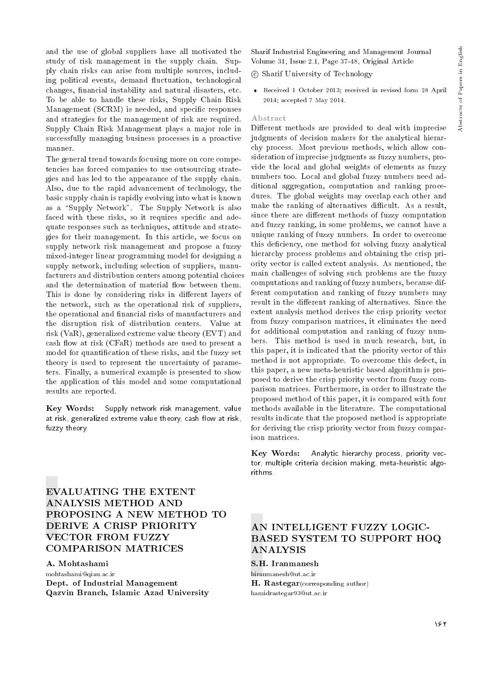and the use of global suppliers have all motivated the study of risk management in the supply chain. Supply chain risks can arise from multiple sources, including political events, demand fluctuation, technological changes, financial instability and natural disasters, etc. To be able to handle these risks, Supply Chain Risk Management (SCRM) is needed, and specic responses and strategies for the management of risk are required. Supply Chain Risk Management plays a major role in successfully managing business processes in a proactive manner.

The general trend towards focusing more on core competencies has forced companies to use outsourcing strategies and has led to the appearance of the supply chain. Also, due to the rapid advancement of technology, the basic supply chain is rapidly evolving into what is known as a "Supply Network". The Supply Network is also faced with these risks, so it requires specific and adequate responses such as techniques, attitude and strategies for their management. In this article, we focus on supply network risk management and propose a fuzzy mixed-integer linear programming model for designing a supply network, including selection of suppliers, manufacturers and distribution centers among potential choices and the determination of material flow between them. This is done by considering risks in different layers of the network, such as the operational risk of suppliers, the operational and financial risks of manufacturers and the disruption risk of distribution centers. Value at risk (VaR), generalized extreme value theory (EVT) and cash flow at risk (CFaR) methods are used to present a model for quantication of these risks, and the fuzzy set theory is used to represent the uncertainty of parameters. Finally, a numerical example is presented to show the application of this model and some computational results are reported.

Key Words: Supply network risk management, value at risk, generalized extreme value theory, cash flow at risk, fuzzy theory.

EVALUATING THE EXTENT ANALYSIS METHOD AND PROPOSING A NEW METHOD TO DERIVE A CRISP PRIORITY VECTOR FROM FUZZY COMPARISON MATRICES

A. Mohtashami mohtashami@qiau.ac.ir Dept. of Industrial Management Qazvin Branch, Islamic Azad University Sharif Industrial Engineering and Management Journal Volume 31, Issue 2.1, Page 37-48, Original Article

c Sharif University of Technology

 Received 1 October 2013; received in revised form 28 April 2014; accepted 7 May 2014.

#### Abstract

Different methods are provided to deal with imprecise judgments of decision makers for the analytical hierarchy process. Most previous methods, which allow consideration of imprecise judgments as fuzzy numbers, provide the local and global weights of elements as fuzzy numbers too. Local and global fuzzy numbers need additional aggregation, computation and ranking procedures. The global weights may overlap each other and make the ranking of alternatives difficult. As a result, since there are different methods of fuzzy computation and fuzzy ranking, in some problems, we cannot have a unique ranking of fuzzy numbers. In order to overcome this deficiency, one method for solving fuzzy analytical hierarchy process problems and obtaining the crisp priority vector is called extent analysis. As mentioned, the main challenges of solving such problems are the fuzzy computations and ranking of fuzzy numbers, because different computation and ranking of fuzzy numbers may result in the different ranking of alternatives. Since the extent analysis method derives the crisp priority vector from fuzzy comparison matrices, it eliminates the need for additional computation and ranking of fuzzy numbers. This method is used in much research, but, in this paper, it is indicated that the priority vector of this method is not appropriate. To overcome this defect, in this paper, a new meta-heuristic based algorithm is proposed to derive the crisp priority vector from fuzzy comparison matrices. Furthermore, in order to illustrate the proposed method of this paper, it is compared with four methods available in the literature. The computational results indicate that the proposed method is appropriate for deriving the crisp priority vector from fuzzy comparison matrices.

Key Words: Analytic hierarchy process, priority vector, multiple criteria decision making, meta-heuristic algorithms.

# AN INTELLIGENT FUZZY LOGIC-BASED SYSTEM TO SUPPORT HOQ **ANALYSIS**

S.H. Iranmanesh

hiranmanesh@ut.ac.ir H. Rastegar(corresponding author) hamidrastegar93@ut.ac.ir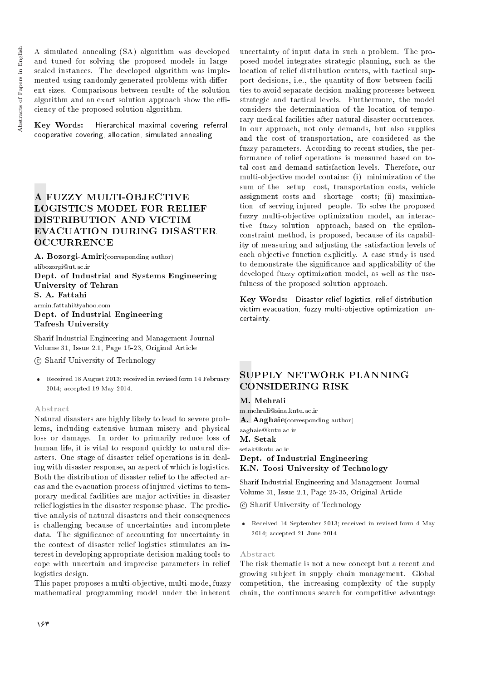A simulated annealing (SA) algorithm was developed and tuned for solving the proposed models in largescaled instances. The developed algorithm was implemented using randomly generated problems with different sizes. Comparisons between results of the solution algorithm and an exact solution approach show the efficiency of the proposed solution algorithm.

Key Words: Hierarchical maximal covering, referral, cooperative covering, allocation, simulated annealing.

# A FUZZY MULTI-OBJECTIVE LOGISTICS MODEL FOR RELIEF DISTRIBUTION AND VICTIM EVACUATION DURING DISASTER **OCCURRENCE**

A. Bozorgi-Amiri(corresponding author) alibozorgi@ut.ac.ir Dept. of Industrial and Systems Engineering University of Tehran S. A. Fattahi armin.fattahi@yahoo.com

Dept. of Industrial Engineering Tafresh University

Sharif Industrial Engineering and Management Journal Volume 31, Issue 2.1, Page 15-23, Original Article

c Sharif University of Technology

 Received 18 August 2013; received in revised form 14 February 2014; accepted 19 May 2014.

#### Abstract

Natural disasters are highly likely to lead to severe problems, including extensive human misery and physical loss or damage. In order to primarily reduce loss of human life, it is vital to respond quickly to natural disasters. One stage of disaster relief operations is in dealing with disaster response, an aspect of which is logistics. Both the distribution of disaster relief to the affected areas and the evacuation process of injured victims to temporary medical facilities are major activities in disaster relief logistics in the disaster response phase. The predictive analysis of natural disasters and their consequences is challenging because of uncertainties and incomplete data. The signicance of accounting for uncertainty in the context of disaster relief logistics stimulates an interest in developing appropriate decision making tools to cope with uncertain and imprecise parameters in relief logistics design.

This paper proposes a multi-objective, multi-mode, fuzzy mathematical programming model under the inherent

uncertainty of input data in such a problem. The proposed model integrates strategic planning, such as the location of relief distribution centers, with tactical support decisions, i.e., the quantity of flow between facilities to avoid separate decision-making processes between strategic and tactical levels. Furthermore, the model considers the determination of the location of temporary medical facilities after natural disaster occurrences. In our approach, not only demands, but also supplies and the cost of transportation, are considered as the fuzzy parameters. According to recent studies, the performance of relief operations is measured based on total cost and demand satisfaction levels. Therefore, our multi-objective model contains: (i) minimization of the sum of the setup cost, transportation costs, vehicle assignment costs and shortage costs; (ii) maximization of serving injured people. To solve the proposed fuzzy multi-objective optimization model, an interactive fuzzy solution approach, based on the epsilonconstraint method, is proposed, because of its capability of measuring and adjusting the satisfaction levels of each objective function explicitly. A case study is used to demonstrate the signicance and applicability of the developed fuzzy optimization model, as well as the usefulness of the proposed solution approach.

Key Words: Disaster relief logistics, relief distribution, victim evacuation, fuzzy multi-objective optimization, uncertainty.

# SUPPLY NETWORK PLANNING CONSIDERING RISK

#### M. Mehrali

m mehrali@sina.kntu.ac.ir A. Aaghaie(corresponding author) aaghaie@kntu.ac.ir M. Setak

setak@kntu.ac.ir Dept. of Industrial Engineering K.N. Toosi University of Technology

Sharif Industrial Engineering and Management Journal Volume 31, Issue 2.1, Page 25-35, Original Article

- c Sharif University of Technology
- Received 14 September 2013; received in revised form 4 May 2014; accepted 21 June 2014.

#### Abstract

The risk thematic is not a new concept but a recent and growing subject in supply chain management. Global competition, the increasing complexity of the supply chain, the continuous search for competitive advantage